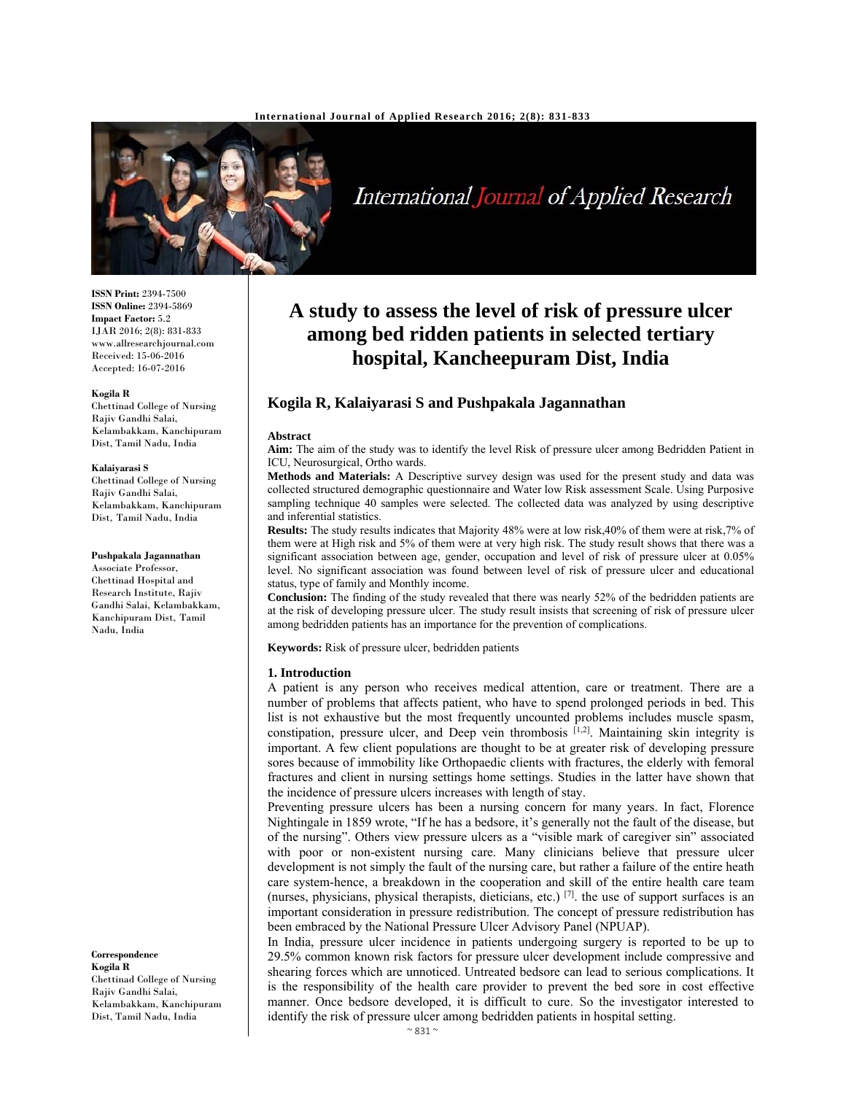

# International Journal of Applied Research

**ISSN Print:** 2394-7500 **ISSN Online:** 2394-5869 **Impact Factor:** 5.2 IJAR 2016; 2(8): 831-833 www.allresearchjournal.com Received: 15-06-2016 Accepted: 16-07-2016

#### **Kogila R**

Chettinad College of Nursing Rajiv Gandhi Salai, Kelambakkam, Kanchipuram Dist, Tamil Nadu, India

#### **Kalaiyarasi S**

Chettinad College of Nursing Rajiv Gandhi Salai, Kelambakkam, Kanchipuram Dist, Tamil Nadu, India

#### **Pushpakala Jagannathan**

Associate Professor, Chettinad Hospital and Research Institute, Rajiv Gandhi Salai, Kelambakkam, Kanchipuram Dist, Tamil Nadu, India

**Correspondence**

**Kogila R**  Chettinad College of Nursing Rajiv Gandhi Salai, Kelambakkam, Kanchipuram Dist, Tamil Nadu, India

## **A study to assess the level of risk of pressure ulcer among bed ridden patients in selected tertiary hospital, Kancheepuram Dist, India**

### **Kogila R, Kalaiyarasi S and Pushpakala Jagannathan**

#### **Abstract**

**Aim:** The aim of the study was to identify the level Risk of pressure ulcer among Bedridden Patient in ICU, Neurosurgical, Ortho wards.

**Methods and Materials:** A Descriptive survey design was used for the present study and data was collected structured demographic questionnaire and Water low Risk assessment Scale. Using Purposive sampling technique 40 samples were selected. The collected data was analyzed by using descriptive and inferential statistics.

**Results:** The study results indicates that Majority 48% were at low risk,40% of them were at risk,7% of them were at High risk and 5% of them were at very high risk. The study result shows that there was a significant association between age, gender, occupation and level of risk of pressure ulcer at 0.05% level. No significant association was found between level of risk of pressure ulcer and educational status, type of family and Monthly income.

**Conclusion:** The finding of the study revealed that there was nearly 52% of the bedridden patients are at the risk of developing pressure ulcer. The study result insists that screening of risk of pressure ulcer among bedridden patients has an importance for the prevention of complications.

**Keywords:** Risk of pressure ulcer, bedridden patients

#### **1. Introduction**

A patient is any person who receives medical attention, care or treatment. There are a number of problems that affects patient, who have to spend prolonged periods in bed. This list is not exhaustive but the most frequently uncounted problems includes muscle spasm, constipation, pressure ulcer, and Deep vein thrombosis  $[1,2]$ . Maintaining skin integrity is important. A few client populations are thought to be at greater risk of developing pressure sores because of immobility like Orthopaedic clients with fractures, the elderly with femoral fractures and client in nursing settings home settings. Studies in the latter have shown that the incidence of pressure ulcers increases with length of stay.

Preventing pressure ulcers has been a nursing concern for many years. In fact, Florence Nightingale in 1859 wrote, "If he has a bedsore, it's generally not the fault of the disease, but of the nursing". Others view pressure ulcers as a "visible mark of caregiver sin" associated with poor or non-existent nursing care. Many clinicians believe that pressure ulcer development is not simply the fault of the nursing care, but rather a failure of the entire heath care system-hence, a breakdown in the cooperation and skill of the entire health care team (nurses, physicians, physical therapists, dieticians, etc.)  $[7]$ . the use of support surfaces is an important consideration in pressure redistribution. The concept of pressure redistribution has been embraced by the National Pressure Ulcer Advisory Panel (NPUAP).

In India, pressure ulcer incidence in patients undergoing surgery is reported to be up to 29.5% common known risk factors for pressure ulcer development include compressive and shearing forces which are unnoticed. Untreated bedsore can lead to serious complications. It is the responsibility of the health care provider to prevent the bed sore in cost effective manner. Once bedsore developed, it is difficult to cure. So the investigator interested to identify the risk of pressure ulcer among bedridden patients in hospital setting.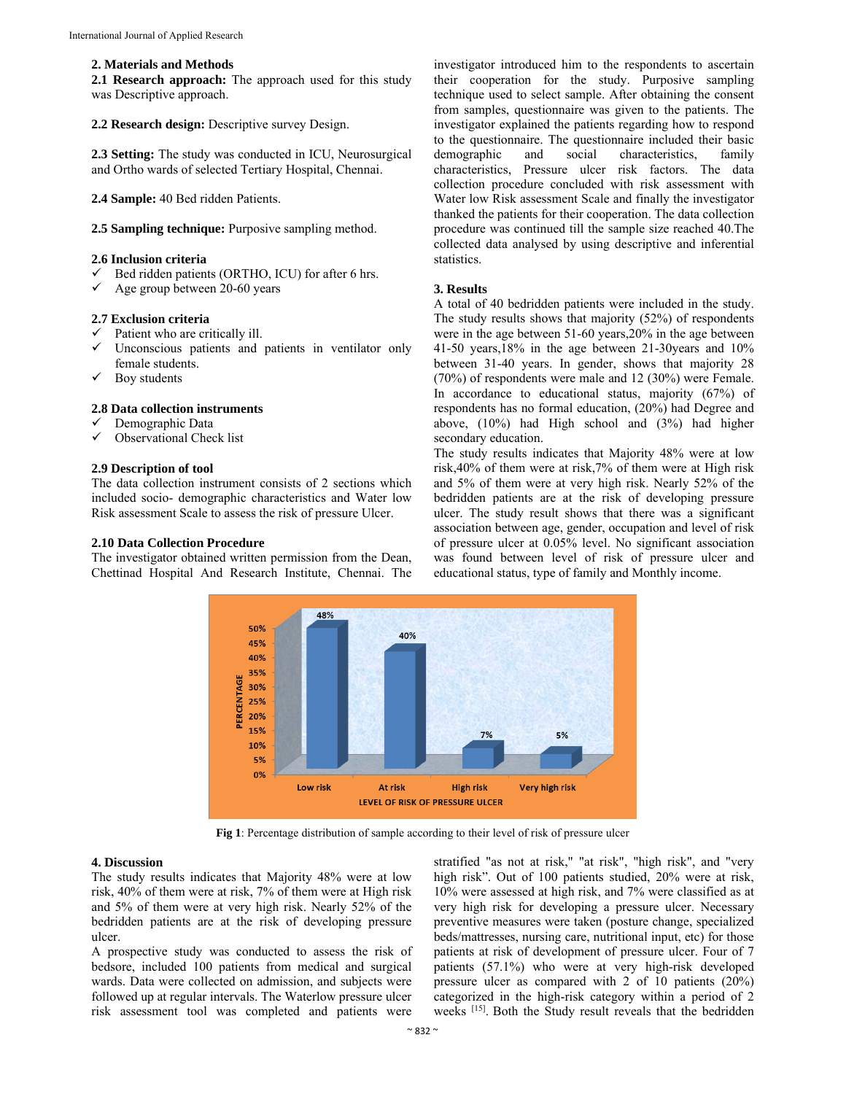#### **2. Materials and Methods**

**2.1 Research approach:** The approach used for this study was Descriptive approach.

#### **2.2 Research design:** Descriptive survey Design.

**2.3 Setting:** The study was conducted in ICU, Neurosurgical and Ortho wards of selected Tertiary Hospital, Chennai.

**2.4 Sample:** 40 Bed ridden Patients.

**2.5 Sampling technique:** Purposive sampling method.

#### **2.6 Inclusion criteria**

- Bed ridden patients (ORTHO, ICU) for after 6 hrs.
- $\checkmark$  Age group between 20-60 years

#### **2.7 Exclusion criteria**

- $\checkmark$  Patient who are critically ill.
- Unconscious patients and patients in ventilator only female students.
- $\checkmark$  Boy students

#### **2.8 Data collection instruments**

- Demographic Data
- $\checkmark$  Observational Check list

#### **2.9 Description of tool**

The data collection instrument consists of 2 sections which included socio- demographic characteristics and Water low Risk assessment Scale to assess the risk of pressure Ulcer.

#### **2.10 Data Collection Procedure**

The investigator obtained written permission from the Dean, Chettinad Hospital And Research Institute, Chennai. The investigator introduced him to the respondents to ascertain their cooperation for the study. Purposive sampling technique used to select sample. After obtaining the consent from samples, questionnaire was given to the patients. The investigator explained the patients regarding how to respond to the questionnaire. The questionnaire included their basic demographic and social characteristics, family characteristics, Pressure ulcer risk factors. The data collection procedure concluded with risk assessment with Water low Risk assessment Scale and finally the investigator thanked the patients for their cooperation. The data collection procedure was continued till the sample size reached 40.The collected data analysed by using descriptive and inferential statistics.

#### **3. Results**

A total of 40 bedridden patients were included in the study. The study results shows that majority (52%) of respondents were in the age between 51-60 years,20% in the age between 41-50 years,18% in the age between 21-30years and 10% between 31-40 years. In gender, shows that majority 28 (70%) of respondents were male and 12 (30%) were Female. In accordance to educational status, majority (67%) of respondents has no formal education, (20%) had Degree and above, (10%) had High school and (3%) had higher secondary education.

The study results indicates that Majority 48% were at low risk,40% of them were at risk,7% of them were at High risk and 5% of them were at very high risk. Nearly 52% of the bedridden patients are at the risk of developing pressure ulcer. The study result shows that there was a significant association between age, gender, occupation and level of risk of pressure ulcer at 0.05% level. No significant association was found between level of risk of pressure ulcer and educational status, type of family and Monthly income.



**Fig 1**: Percentage distribution of sample according to their level of risk of pressure ulcer

#### **4. Discussion**

The study results indicates that Majority 48% were at low risk, 40% of them were at risk, 7% of them were at High risk and 5% of them were at very high risk. Nearly 52% of the bedridden patients are at the risk of developing pressure ulcer.

A prospective study was conducted to assess the risk of bedsore, included 100 patients from medical and surgical wards. Data were collected on admission, and subjects were followed up at regular intervals. The Waterlow pressure ulcer risk assessment tool was completed and patients were stratified "as not at risk," "at risk", "high risk", and "very high risk". Out of 100 patients studied, 20% were at risk, 10% were assessed at high risk, and 7% were classified as at very high risk for developing a pressure ulcer. Necessary preventive measures were taken (posture change, specialized beds/mattresses, nursing care, nutritional input, etc) for those patients at risk of development of pressure ulcer. Four of 7 patients (57.1%) who were at very high-risk developed pressure ulcer as compared with 2 of 10 patients (20%) categorized in the high-risk category within a period of 2 weeks [15]. Both the Study result reveals that the bedridden